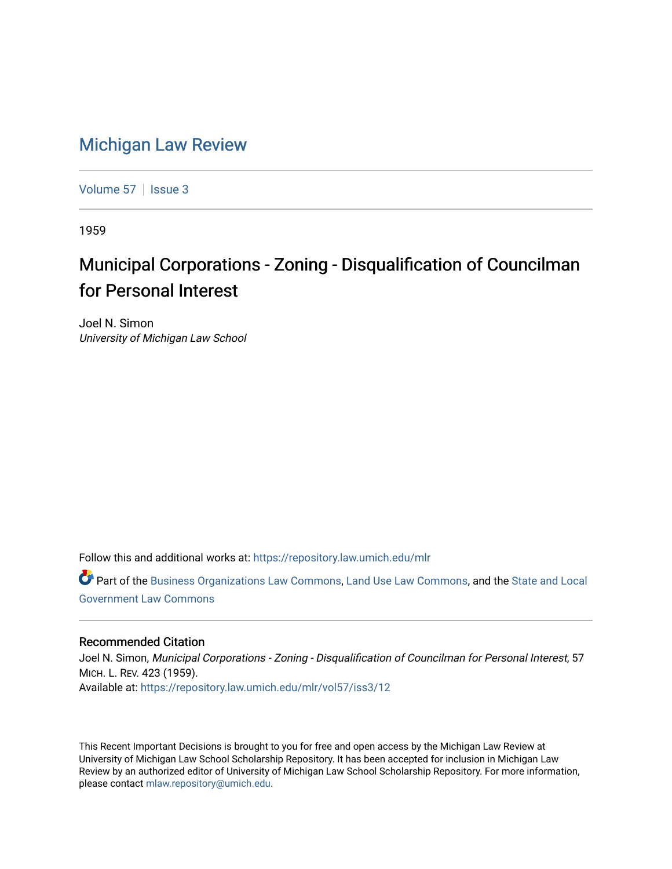## [Michigan Law Review](https://repository.law.umich.edu/mlr)

[Volume 57](https://repository.law.umich.edu/mlr/vol57) | [Issue 3](https://repository.law.umich.edu/mlr/vol57/iss3)

1959

## Municipal Corporations - Zoning - Disqualification of Councilman for Personal Interest

Joel N. Simon University of Michigan Law School

Follow this and additional works at: [https://repository.law.umich.edu/mlr](https://repository.law.umich.edu/mlr?utm_source=repository.law.umich.edu%2Fmlr%2Fvol57%2Fiss3%2F12&utm_medium=PDF&utm_campaign=PDFCoverPages) 

Part of the [Business Organizations Law Commons](http://network.bepress.com/hgg/discipline/900?utm_source=repository.law.umich.edu%2Fmlr%2Fvol57%2Fiss3%2F12&utm_medium=PDF&utm_campaign=PDFCoverPages), [Land Use Law Commons](http://network.bepress.com/hgg/discipline/852?utm_source=repository.law.umich.edu%2Fmlr%2Fvol57%2Fiss3%2F12&utm_medium=PDF&utm_campaign=PDFCoverPages), and the [State and Local](http://network.bepress.com/hgg/discipline/879?utm_source=repository.law.umich.edu%2Fmlr%2Fvol57%2Fiss3%2F12&utm_medium=PDF&utm_campaign=PDFCoverPages) [Government Law Commons](http://network.bepress.com/hgg/discipline/879?utm_source=repository.law.umich.edu%2Fmlr%2Fvol57%2Fiss3%2F12&utm_medium=PDF&utm_campaign=PDFCoverPages) 

## Recommended Citation

Joel N. Simon, Municipal Corporations - Zoning - Disqualification of Councilman for Personal Interest, 57 MICH. L. REV. 423 (1959). Available at: [https://repository.law.umich.edu/mlr/vol57/iss3/12](https://repository.law.umich.edu/mlr/vol57/iss3/12?utm_source=repository.law.umich.edu%2Fmlr%2Fvol57%2Fiss3%2F12&utm_medium=PDF&utm_campaign=PDFCoverPages) 

This Recent Important Decisions is brought to you for free and open access by the Michigan Law Review at University of Michigan Law School Scholarship Repository. It has been accepted for inclusion in Michigan Law Review by an authorized editor of University of Michigan Law School Scholarship Repository. For more information, please contact [mlaw.repository@umich.edu.](mailto:mlaw.repository@umich.edu)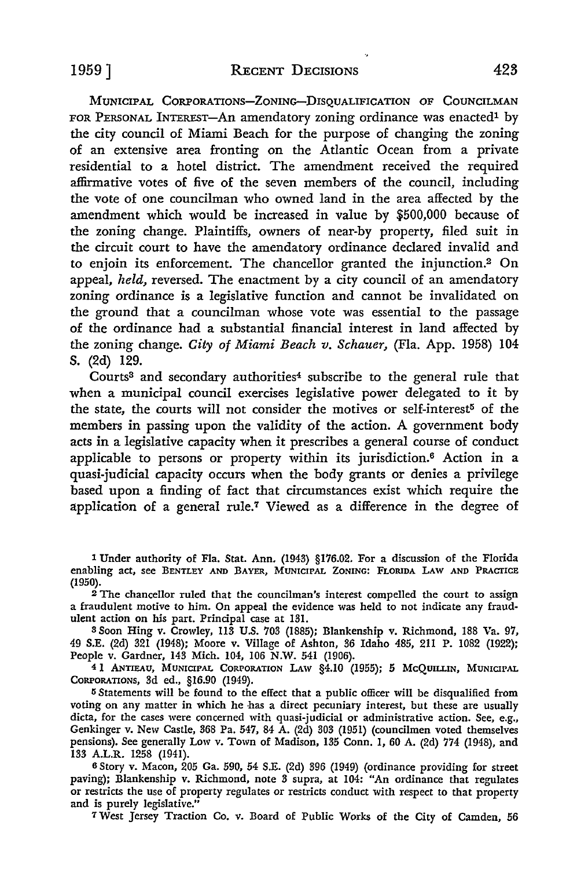MUNICIPAL CORPORATIONS-ZONING-DISQUALIFICATION OF COUNCILMAN FOR PERSONAL INTEREST-An amendatory zoning ordinance was enacted<sup>1</sup> by the city council of Miami Beach for the purpose of changing the zoning of an extensive area fronting on the Atlantic Ocean from a private residential to a hotel district. The amendment received the required affirmative votes of five of the seven members of the council, including the vote of one councilman who owned land in the area affected by the amendment which would be increased in value by \$500,000 because of the zoning change. Plaintiffs, owners of near-by property, filed suit in the circuit court to have the amendatory ordinance declared invalid and to enjoin its enforcement. The chancellor granted the injunction.2 On appeal, *held,* reversed. The enactment by a city council of an amendatory zoning ordinance is a legislative function and cannot be invalidated on the ground that a councilman whose vote was essential to the passage of the ordinance had a substantial financial interest in land affected by the zoning change. *City of Miami Beach v. Schauer,* (Fla. App. 1958) 104 S. (2d) 129.

Courts<sup>3</sup> and secondary authorities<sup>4</sup> subscribe to the general rule that when a municipal council exercises legislative power delegated to it by the state, the courts will not consider the motives or self-interest<sup>5</sup> of the members in passing upon the validity of the action. A government body acts in a legislative capacity when it prescribes a general course of conduct applicable to persons or property within its jurisdiction.6 Action in a quasi-judicial capacity occurs when the body grants or denies a privilege based upon a finding of fact that circumstances exist which require the application of a general rule.7 Viewed as a difference in the degree of

 $2$  The chancellor ruled that the councilman's interest compelled the court to assign a fraudulent motive to him. On appeal the evidence was held to not indicate any fraudulent action on his part. Principal case at 131.

<sup>3</sup>Soon Hing v. Crowley, II3 U.S. 703 (1885); Blankenship v. Richmond, 188 Va. 97, 49 S.E. (2d) 321 (1948); Moore v. Village of Ashton, 36 Idaho 485, 2ll P. 1082 (1922); People v. Gardner, 143 Mich. 104, 106 N.W. 541 (1906).

4 1 ANTIEAU, MUNICIPAL CORPORATION LAW §4.10 (1955); 5 McQUILLIN, MUNICIPAL CORPORATIONS, 3d ed., §16.90 (1949).

<sup>5</sup>Statements will be found to the effect that a public officer will be disqualified from voting on any matter in which he has a direct pecuniary interest, but these are usually dicta, for the cases were concerned with quasi-judicial or administrative action. See, e.g., Genkinger v. New Castle, 368 Pa. 547, 84 A. (2d) 303 (1951) (councilmen voted themselves pensions). See generally Low v. Town of Madison, 135 Conn. I, 60 A. (2d) 774 (1948), and 133 A.L.R. 1258 (1941).

6 Story v. Macon, 205 Ga. 590, 54 S.E. (2d) 396 (1949) (ordinance providing for street paving); Blankenship v. Richmond, note 3 supra, at 104: "An ordinance that regulates or restricts the use of property regulates or restricts conduct with respect to that property and is purely legislative."

7 West Jersey Traction Co. v. Board of Public Works of the City of Camden, 56

<sup>1</sup> Under authority of Fla. Stat. Ann. (1943) §176.02. For a discussion of the Florida enabling act, see BENTLEY AND BAYER, MUNICIPAL ZONING: FLORIDA LAW AND PRACTICE (1950).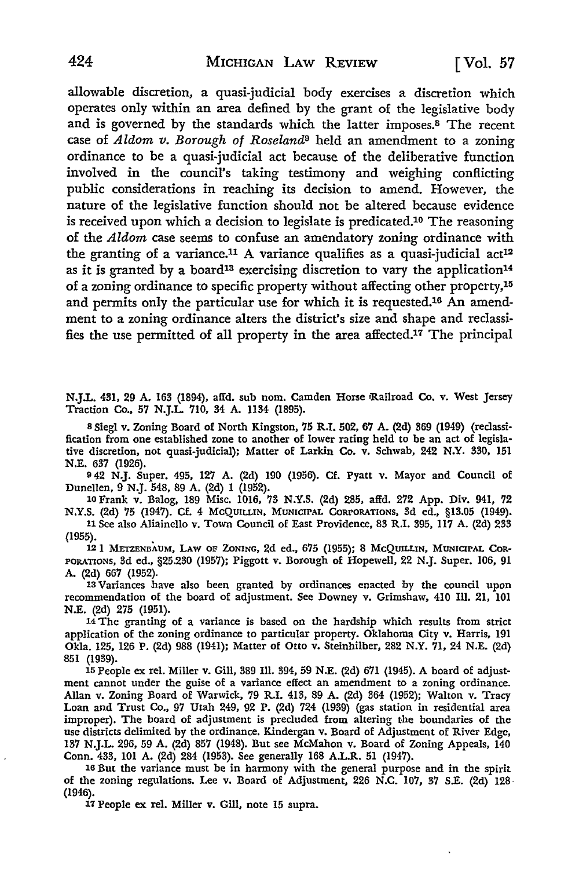allowable discretion, a quasi-judicial body exercises a discretion which operates only within an area defined by the grant of the legislative body and is governed by the standards which the latter imposes.8 The recent case of *Aldom v. Borough of Roseland9* held an amendment to a zoning ordinance to be a quasi-judicial act because of the deliberative function involved in the council's taking testimony and weighing conflicting public considerations in reaching its decision to amend. However, the nature of the legislative function should not be altered because evidence is received upon which a decision to legislate is predicated.10 The reasoning of the *Aldom* case seems to confuse an amendatory zoning ordinance with the granting of a variance.<sup>11</sup> A variance qualifies as a quasi-judicial act<sup>12</sup> as it is granted by a board<sup>13</sup> exercising discretion to vary the application<sup>14</sup> of a zoning ordinance to specific property without affecting other property,<sup>15</sup> and permits only the particular use for which it is requested.16 An amendment to a zoning ordinance alters the district's size and shape and reclassifies the use permitted of all property in the area affected.17 The principal

N.J.L. 431, 29 A. 163 (1894), affd. sub nom. Camden Horse Railroad Co. v. West Jersey Traction Co., 57 N.J.L. 710, 34 A. 1134 (1895).

s Sieg! v. Zoning Board of North Kingston, 75 R.I. 502, 67 A. (2d) 369 (1949) (reclassification from one established zone to another of lower rating held to be an act of legislative discretion, not quasi-judicial); Matter of Larkin Co. v. Schwab, 242 N.Y. 330, 151 N.E. 637 (1926).

9 42 N.J. Super. 495, 127 A. (2d) 190 (1956). Cf. Pyatt v. Mayor and Council of Dunellen, 9 N.J. 548, 89 A. (2d) I (1952).

lOFrank v. Balog, 189 Misc. 1016, 73 N.Y.S. (2d) 285, affd. 272 App. Div. 941, 72 N.Y.S. (2d) 75 (1947). Cf. 4 McQUILLIN, MuNICIPAL CoRPORATIONS, 3d ed., §13.05 (1949).

11 See also Aliainello v. Town Council of East Providence, 83 R.I. 395, 117 A. (2d) 233 (1955). . 12 l METZENBAUM, LAW OF ZONING, 2d ed., 675 (1955): 8 McQUILLIN, MUNICIPAL COR-

PORATIONS, 3d ed., §25.230 (1957): Piggott v. Borough of Hopewell, 22 **N.J.** Super. 106, 91 A. (2d) 667 (1952).

13 Variances have also been granted by ordinances enacted by the council upon recommendation of the board of adjustment. See Downey v. Grimshaw, 410 Ill. 21, IOI N.E. (2d) 275 (1951).

14 The granting of a variance is based on the hardship which results from strict application of the wning ordinance to particular property. Oklahoma City v. Harris, 191 Okla. 125, 126 P. (2d) 988 (1941); Matter of Otto v. Steinhilber, 282 N.Y. 71, 24 N.E. (2d) 851 (1939).

15 People ex rel. Miller v. Gill, 389 Ill. 394, 59 N.E. (2d) 671 (1945). A board of adjustment cannot under the guise of a variance effect an amendment to a zoning ordinance. Allan v. Zoning Board of Warwick, 79 R.I. 413, 89 A. (2d) 364 (1952): Walton v. Tracy Loan and Trust Co., 97 Utah 249, 92 P. (2d) 724 (1939) (gas station in residential area improper). The board of adjustment is precluded from altering the boundaries of the use districts delimited by the ordinance. Kindergan v. Board of Adjustment of River Edge, 137 N.J.L. 296, 59 A. (2d) 857 (1948). But see McMahon v. Board of Zoning Appeals, 140 Conn. 433, 101 A. (2d) 284 (1953). See generally 168 A.L.R. 51 (1947).

16 But the variance must be in harmony with the general purpose and in the spirit of the zoning regulations. Lee v. Board of Adjustment, 226 N.C. 107, 37 S.E. (2d) 128- (1946).

17 People ex rel. Miller v. Gill, note 15 supra.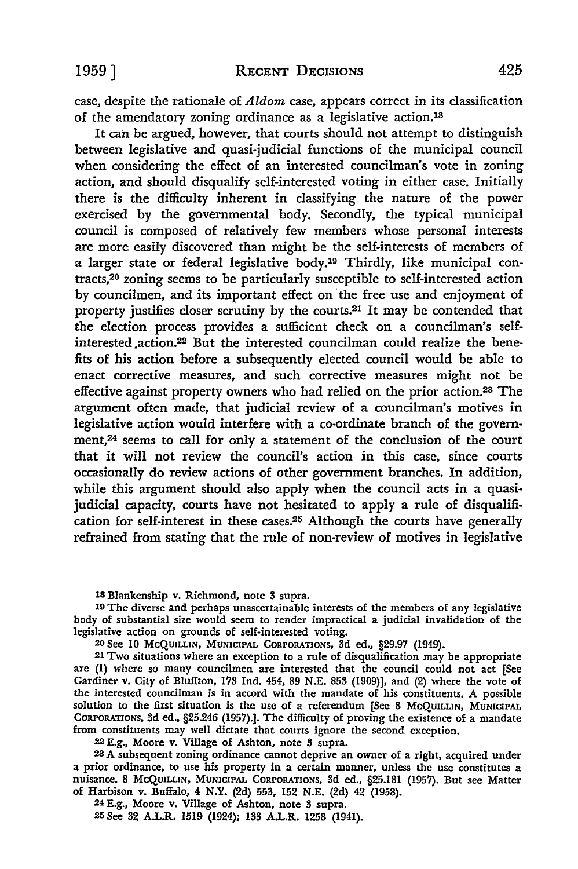case, despite the rationale of *Aldom* case, appears correct in its classification of the amendatory zoning ordinance as a legislative action.18

It can be argued, however, that courts should not attempt to distinguish between legislative and quasi-judicial functions of the municipal council when considering the effect of an interested councilman's vote in zoning action, and should disqualify self-interested voting in either case. Initially there is the difficulty inherent in classifying the nature of the power exercised by the governmental body. Secondly, the typical municipal council is composed of relatively few members whose personal interests are more easily discovered than might be the self-interests of members of a larger state or federal legislative body.19 Thirdly, like municipal contracts,20 zoning seems to be particularly susceptible to self-interested action by councilmen, and its important effect on the free use and enjoyment of property justifies closer scrutiny by the courts.21 It may be contended that the election process provides a sufficient check on a councilman's selfinterested .action.22 But the interested councilman could realize the benefits of his action before a subsequently elected council would be able to enact corrective measures, and such corrective measures might not be effective against property owners who had relied on the prior action.23 The argument often made, that judicial review of a councilman's motives in legislative action would interfere with a co-ordinate branch of the govemment,24 seems to call for only a statement of the conclusion of the court that it will not review the council's action in this case, since courts occasionally do review actions of other government branches. In addition, while this argument should also apply when the council acts in a quasijudicial capacity, courts have not hesitated to apply a rule of disqualification for self-interest in these cases.25 Although the courts have generally refrained from stating that the rule of non-review of motives in legislative

18 Blankenship v. Richmond, note 3 supra.

19 The diverse and perhaps unascertainaole interests of the members of any legislative body of substantial size would seem to render impractical a judicial invalidation of the legislative action on grounds of self-interested voting.

20 See IO McQUILLIN, MUNICIPAL CORPORATIONS, 3d ed., §29.97 (1949).

21 Two situations where an exception to a rule of disqualification may be appropriate are (1) where so many councilmen are interested that the council could not act [See Gardiner v. City of Bluffton, 173 Ind. 454, 89 N.E. 853 (1909)), and (2) where the vote of the interested councilman is in accord with the mandate of his constituents. A possible solution to the first situation is the use of a referendum [See 8 McQUILLIN, MUNICIPAL CORPORATIONS, 3d ed., §25.246 (1957).J. The difficulty of proving the existence of a mandate from constituents may well dictate that courts ignore the second exception.

22 E.g., Moore v. Village of Ashton, note 3 supra.

23 A subsequent zoning ordinance cannot deprive an owner of a right, acquired under a prior ordinance, to use his property in a certain manner, unless the use constitutes a nuisance. 8 McQUILLIN, MUNICIPAL CORPORATIONS, 3d ed., §25.181 (1957). But see Matter of Harbison v. Buffalo, 4 N.Y. (2d) 553, 152 N.E. (2d) 42 (1958).

24 E.g., Moore v. Village of Ashton, note 3 supra.

25 See 32 *AL.R.* 1519 (1924); 133 *AL.R.* 1258 (1941).